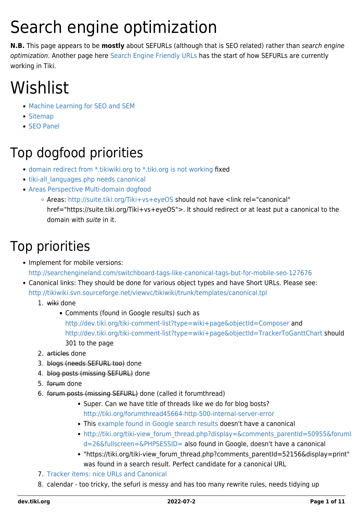# Search engine optimization

**N.B.** This page appears to be **mostly** about SEFURLs (although that is SEO related) rather than search engine optimization. Another page here [Search Engine Friendly URLs](https://dev.tiki.org/Search-Engine-Friendly-URLs) has the start of how SEFURLs are currently working in Tiki.

# Wishlist

- [Machine Learning for SEO and SEM](https://dev.tiki.org/Machine-Learning-for-SEO-and-SEM)
- [Sitemap](https://dev.tiki.org/Sitemap)
- [SEO Panel](https://dev.tiki.org/Seo-Panel)

### Top dogfood priorities

- [domain redirect from \\*.tikiwiki.org to \\*.tiki.org is not working](https://dev.tiki.org/wish4560) fixed
- tiki-all languages.php needs canonical
- [Areas Perspective Multi-domain dogfood](https://dev.tiki.org/Areas-Perspective-Multi-domain-dogfood)
	- Areas: <http://suite.tiki.org/Tiki+vs+eyeOS> should not have <link rel="canonical"
		- href="https://suite.tiki.org/Tiki+vs+eyeOS">. It should redirect or at least put a canonical to the domain with suite in it.

### Top priorities

- Implement for mobile versions: <http://searchengineland.com/switchboard-tags-like-canonical-tags-but-for-mobile-seo-127676>
- Canonical links: They should be done for various object types and have [Short URLs](https://dev.tiki.org/tiki-editpage.php?page=Short+URLs). Please see: <http://tikiwiki.svn.sourceforge.net/viewvc/tikiwiki/trunk/templates/canonical.tpl>
	- 1. wiki done
		- Comments (found in Google results) such as <http://dev.tiki.org/tiki-comment-list?type=wiki+page&objectId=Composer>and <http://dev.tiki.org/tiki-comment-list?type=wiki+page&objectId=TrackerToGanttChart>should 301 to the page
	- 2. articles done
	- 3. blogs (needs SEFURL too) done
	- 4. blog posts (missing SEFURL) done
	- 5. forum done
	- 6. forum posts (missing SEFURL) done (called it forumthread)
		- Super. Can we have title of threads like we do for blog bosts? <http://tiki.org/forumthread45664-http-500-internal-server-error>
		- This [example found in Google search results](http://tiki.org/tiki-view_forum_thread.php?comments_offset=0&comments_threadId=0&comments_parentId=44308&comments_threshold=0&thread_sort_mode=commentDate_asc&topics_offset=0&topics_find=&topics_sort_mode=lastPost_desc&topics_threshold=0&forumId=6&time_control=86400&display=&fullscreen=&PHPSESSID=) doesn't have a canonical
		- http://tiki.org/tiki-view forum\_thread.php?display=&comments\_parentId=50955&forumI [d=26&fullscreen=&PHPSESSID=](http://tiki.org/tiki-view_forum_thread.php?display=&comments_parentId=50955&forumId=26&fullscreen=&PHPSESSID=) also found in Google, doesn't have a canonical
		- "https://tiki.org/tiki-view\_forum\_thread.php?comments\_parentId=52156&display=print" was found in a search result. Perfect candidate for a canonical URL
	- 7. [Tracker items: nice URLs and Canonical](https://dev.tiki.org/wish4862)
	- 8. calendar too tricky, the sefurl is messy and has too many rewrite rules, needs tidying up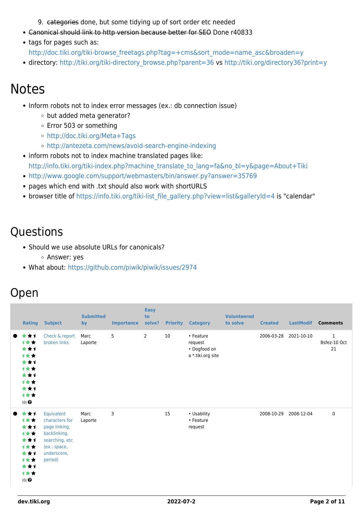9. categories done, but some tidying up of sort order etc needed

- Canonical should link to http version because better for SEO Done r40833
- tags for pages such as:
	- [http://doc.tiki.org/tiki-browse\\_freetags.php?tag=+cms&sort\\_mode=name\\_asc&broaden=y](http://doc.tiki.org/tiki-browse_freetags.php?tag=+cms&sort_mode=name_asc&broaden=y)
- directory: [http://tiki.org/tiki-directory\\_browse.php?parent=36](http://tiki.org/tiki-directory_browse.php?parent=36) vs<http://tiki.org/directory36?print=y>

#### Notes

- Inform robots not to index error messages (ex.: db connection issue)
	- o but added meta generator?
	- Error 503 or something
	- <http://doc.tiki.org/Meta+Tags>
	- <http://antezeta.com/news/avoid-search-engine-indexing>
- inform robots not to index machine translated pages like: [http://info.tiki.org/tiki-index.php?machine\\_translate\\_to\\_lang=fa&no\\_bl=y&page=About+Tiki](http://info.tiki.org/tiki-index.php?machine_translate_to_lang=fa&no_bl=y&page=About+Tiki)
- <http://www.google.com/support/webmasters/bin/answer.py?answer=35769>
- pages which end with .txt should also work with shortURLS
- browser title of [https://info.tiki.org/tiki-list\\_file\\_gallery.php?view=list&galleryId=4](https://info.tiki.org/tiki-list_file_gallery.php?view=list&galleryId=4) is "calendar"

#### **Questions**

- Should we use absolute URLs for canonicals? Answer: yes
- What about:<https://github.com/piwik/piwik/issues/2974>

#### Open

|                                                                                                                     | <b>Rating</b> | <b>Subject</b>                                                                                                            | <b>Submitted</b><br>by | <b>Importance</b> | <b>Easy</b><br>to<br>solve? | <b>Priority</b> | <b>Category</b>                                           | <b>Volunteered</b><br>to solve | <b>Created</b> | <b>LastModif</b> | <b>Comments</b>                    |
|---------------------------------------------------------------------------------------------------------------------|---------------|---------------------------------------------------------------------------------------------------------------------------|------------------------|-------------------|-----------------------------|-----------------|-----------------------------------------------------------|--------------------------------|----------------|------------------|------------------------------------|
| ***<br>$\bullet$<br>1★★<br>***<br>计女女<br>***<br>计女女<br>***<br>1★★<br>***<br>计女女<br>$(0)$ $\odot$                    |               | Check & report<br>broken links                                                                                            | Marc<br>Laporte        | 5                 | 2                           | 10              | • Feature<br>request<br>• Dogfood on<br>a *.tiki.org site |                                | 2006-03-28     | 2021-10-10       | $\mathbf{1}$<br>Bsfez-10 Oct<br>21 |
| ***<br>$\qquad \qquad \blacksquare$<br>计女女<br>***<br>1★★<br>***<br>计女女<br>***<br>计女女<br>***<br>计女女<br>$(0)$ $\odot$ |               | Equivalent<br>characters for<br>page linking,<br>backlinking,<br>searching, etc<br>(ex.: space,<br>underscore,<br>period) | Marc<br>Laporte        | 3                 |                             | 15              | • Usability<br>• Feature<br>request                       |                                | 2008-10-29     | 2008-12-04       | 0                                  |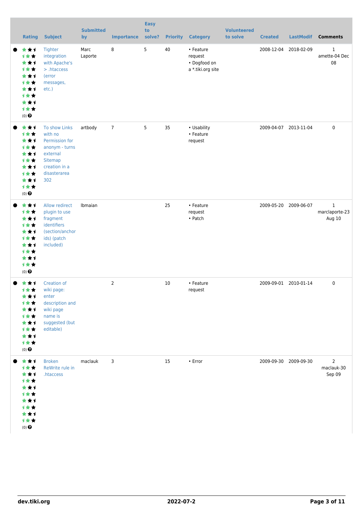|           | <b>Rating</b>                                                                                                    | <b>Subject</b>                                                                                                              | <b>Submitted</b><br>by | <b>Importance</b> | <b>Easy</b><br>to<br>solve? | <b>Priority</b> | <b>Category</b>                                           | <b>Volunteered</b><br>to solve | <b>Created</b> |                       | LastModif Comments                       |
|-----------|------------------------------------------------------------------------------------------------------------------|-----------------------------------------------------------------------------------------------------------------------------|------------------------|-------------------|-----------------------------|-----------------|-----------------------------------------------------------|--------------------------------|----------------|-----------------------|------------------------------------------|
|           | ***<br>计女女<br>***<br>计女女<br>***<br><b>1**</b><br>***<br><b>1**</b><br>***<br>计女女<br>$(0)$ $\odot$                | Tighter<br>integration<br>with Apache's<br>> .htaccess<br>(error<br>messages,<br>etc.)                                      | Marc<br>Laporte        | 8                 | 5                           | 40              | • Feature<br>request<br>• Dogfood on<br>a *.tiki.org site |                                | 2008-12-04     | 2018-02-09            | 1<br>amette-04 Dec<br>08                 |
|           | ***<br>计女女<br>***<br><b>1**</b><br>***<br>1★★<br>***<br>***<br>***<br>计女女<br>$(0)$ <sup><math>\odot</math></sup> | To show Links<br>with no<br>Permission for<br>anonym - turns<br>external<br>Sitemap<br>creation in a<br>disasterarea<br>302 | artbody                | $\overline{7}$    | 5                           | 35              | • Usability<br>• Feature<br>request                       |                                |                | 2009-04-07 2013-11-04 | $\mathbf 0$                              |
|           | ***<br>计女女<br>***<br><b>1**</b><br>***<br>计女女<br>***<br>计女女<br>***<br>计女女<br>$(0)$ <sup><math>\odot</math></sup> | Allow redirect<br>plugin to use<br>fragment<br>identifiers<br>(section/anchor<br>ids) (patch<br>included)                   | Ibmaian                |                   |                             | 25              | • Feature<br>request<br>• Patch                           |                                |                | 2009-05-20 2009-06-07 | $\mathbf{1}$<br>marclaporte-23<br>Aug 10 |
|           | ★★↑<br>→★★<br>***<br>计女女<br>***<br>计女女<br>***<br>1★★<br>***<br>计女女<br>$(0)$ <sup><math>\odot</math></sup>        | Creation of<br>wiki page:<br>enter<br>description and<br>wiki page<br>name is<br>suggested (but<br>editable)                |                        | $\overline{2}$    |                             | 10              | • Feature<br>request                                      |                                |                | 2009-09-01 2010-01-14 | 0                                        |
| $\bullet$ | ***<br>计女女<br>***<br>1★★<br>***<br>计女女<br>***<br>计女女<br>***<br>计女女<br>$(0)$ $\odot$                              | <b>Broken</b><br>ReWrite rule in<br>.htaccess                                                                               | maclauk                | 3                 |                             | 15              | $\cdot$ Error                                             |                                |                | 2009-09-30 2009-09-30 | $\overline{2}$<br>maclauk-30<br>Sep 09   |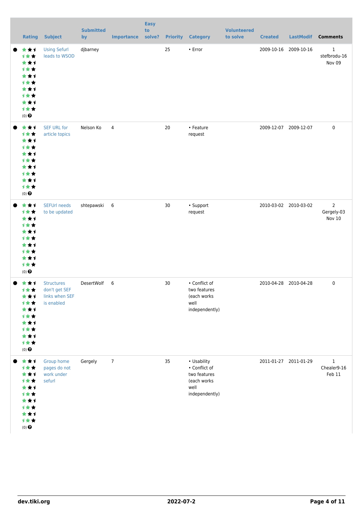| <b>Rating</b>                                                                                              | <b>Subject</b>                                                     | <b>Submitted</b><br>by | <b>Importance</b> | <b>Easy</b><br>to<br>solve? |    | <b>Priority Category</b>                                                              | <b>Volunteered</b><br>to solve | <b>Created</b>        | <b>LastModif</b>      | <b>Comments</b>                        |
|------------------------------------------------------------------------------------------------------------|--------------------------------------------------------------------|------------------------|-------------------|-----------------------------|----|---------------------------------------------------------------------------------------|--------------------------------|-----------------------|-----------------------|----------------------------------------|
| ***<br><b>1**</b><br>***<br>1★★<br>***<br>计女女<br>***<br>1★★<br>***<br>计女女<br>$(0)$ $\odot$                 | <b>Using Sefurl</b><br>leads to WSOD                               | djbarney               |                   |                             | 25 | • Error                                                                               |                                |                       | 2009-10-16 2009-10-16 | $\mathbf{1}$<br>stefbrodu-16<br>Nov 09 |
| ***<br>1★★<br>***<br><b>1**</b><br>***<br>1★★<br>***<br>1★★<br>***<br>计女女<br>$(0)$ $\odot$                 | <b>SEF URL for</b><br>article topics                               | Nelson Ko              | $\overline{4}$    |                             | 20 | • Feature<br>request                                                                  |                                | 2009-12-07 2009-12-07 |                       | $\mathbf 0$                            |
| ***<br>1★★<br>***<br><b>1**</b><br>★★1<br>1★★<br>★★1<br>计女女<br>***<br>1女女<br>$(0)$<br>$\pmb{\Theta}$       | <b>SEFUrl needs</b><br>to be updated                               | shtepawski             | 6                 |                             | 30 | • Support<br>request                                                                  |                                |                       | 2010-03-02 2010-03-02 | $\overline{2}$<br>Gergely-03<br>Nov 10 |
| ***<br><b>1★★</b><br>★★1<br>⊣∗<br>***<br>1★★<br>★★1<br><b>1★★</b><br>***<br>计女女<br>$(0)$<br>$\pmb{\Theta}$ | <b>Structures</b><br>don't get SEF<br>links when SEF<br>is enabled | DesertWolf 6           |                   |                             | 30 | • Conflict of<br>two features<br>(each works<br>well<br>independently)                |                                | 2010-04-28 2010-04-28 |                       | $\mathbf 0$                            |
| ***<br>计女女<br>***<br>1★★<br>***<br>1★★<br>★★1<br><b>1**</b><br>***<br>计女女<br>$(0)$<br>$\pmb{\Theta}$       | Group home<br>pages do not<br>work under<br>sefurl                 | Gergely                | $\overline{7}$    |                             | 35 | • Usability<br>• Conflict of<br>two features<br>(each works<br>well<br>independently) |                                |                       | 2011-01-27 2011-01-29 | $\mathbf{1}$<br>Chealer9-16<br>Feb 11  |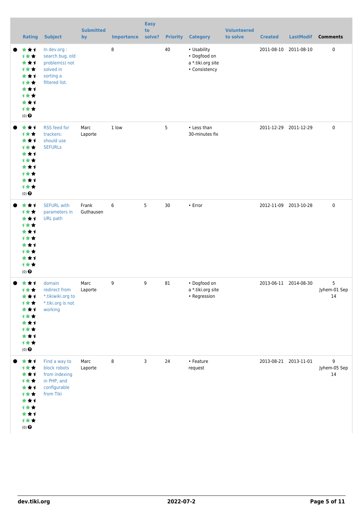|           | <b>Rating</b>                                                                                 | <b>Subject</b>                                                                                | <b>Submitted</b><br>by | <b>Importance</b> | <b>Easy</b><br>to<br>solve? | <b>Priority</b> | <b>Category</b>                                                   | <b>Volunteered</b><br>to solve | <b>Created</b> | <b>LastModif</b>      | <b>Comments</b>         |
|-----------|-----------------------------------------------------------------------------------------------|-----------------------------------------------------------------------------------------------|------------------------|-------------------|-----------------------------|-----------------|-------------------------------------------------------------------|--------------------------------|----------------|-----------------------|-------------------------|
| $\bullet$ | ***<br>计女女<br>***<br>计女女<br>***<br>计女女<br>***<br>计女女<br>***<br>计女女<br>$(0)$ $\odot$           | In dev.org :<br>search bug, old<br>problem(s) not<br>solved in<br>sorting a<br>filtered list. |                        | 8                 |                             | 40              | • Usability<br>• Dogfood on<br>a *.tiki.org site<br>• Consistency |                                |                | 2011-08-10 2011-08-10 | 0                       |
|           | ***<br>计女女<br>***<br>1★★<br>***<br>计女女<br>***<br><b>1**</b><br>***<br>计女女<br>$(0)$ $\odot$    | RSS feed for<br>trackers:<br>should use<br><b>SEFURLS</b>                                     | Marc<br>Laporte        | 1 low             |                             | 5               | • Less than<br>30-minutes fix                                     |                                |                | 2011-12-29 2011-12-29 | $\mathbf 0$             |
|           | ***<br>1★★<br>***<br>计女女<br>***<br>1★★<br>***<br><b>1**</b><br>***<br>计女女<br>$(0)$ $\odot$    | <b>SEFURL with</b><br>parameters in<br><b>URL</b> path                                        | Frank<br>Guthausen     | 6                 | 5                           | 30              | $\cdot$ Error                                                     |                                |                | 2012-11-09 2013-10-28 | $\mathbf 0$             |
|           | ★★1<br>计女女<br>***<br>计女女<br>***<br>计女女<br>***<br>计女女<br>***<br>计女女<br>$(0)$<br>$\pmb{\Theta}$ | domain<br>redirect from<br>*.tikiwiki.org to<br>*.tiki.org is not<br>working                  | Marc<br>Laporte        | 9                 | 9                           | 81              | • Dogfood on<br>a *.tiki.org site<br>• Regression                 |                                |                | 2013-06-11 2014-08-30 | 5<br>Jyhem-01 Sep<br>14 |
|           | ***<br>计女女<br>***<br>1★★<br>***<br>计女女<br>***<br>计女女<br>***<br>计女女<br>$(0)$ $\odot$           | Find a way to<br>block robots<br>from indexing<br>in PHP, and<br>configurable<br>from Tiki    | Marc<br>Laporte        | 8                 | 3                           | 24              | • Feature<br>request                                              |                                |                | 2013-08-21 2013-11-01 | 9<br>Jyhem-05 Sep<br>14 |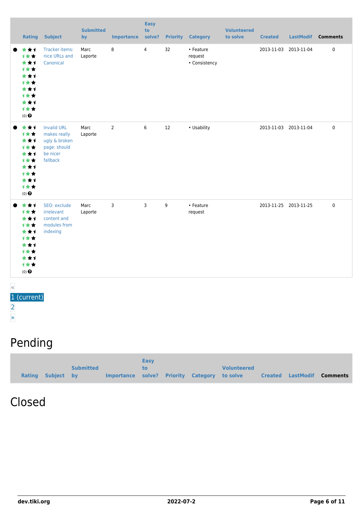|                                                                                                          | <b>Rating Subject</b>                                                                       | <b>Submitted</b><br>by | <b>Importance</b> | <b>Easy</b><br>to<br>solve? |    | <b>Priority Category</b>              | <b>Volunteered</b><br>to solve | <b>Created</b> |                       | LastModif Comments |
|----------------------------------------------------------------------------------------------------------|---------------------------------------------------------------------------------------------|------------------------|-------------------|-----------------------------|----|---------------------------------------|--------------------------------|----------------|-----------------------|--------------------|
| ***<br><b>1**</b><br>***<br><b>1**</b><br>***<br><b>1**</b><br>***<br>1★★<br>***<br>计女女<br>$(0)$ $\odot$ | Tracker items:<br>nice URLs and<br>Canonical                                                | Marc<br>Laporte        | 8                 | $\overline{4}$              | 32 | • Feature<br>request<br>• Consistency |                                |                | 2013-11-03 2013-11-04 | $\pmb{0}$          |
| ***<br>计女女<br>***<br>计女女<br>***<br><b>1**</b><br>***<br><b>1**</b><br>***<br>计女女<br>$(0)$ $\odot$        | <b>Invalid URL</b><br>makes really<br>ugly & broken<br>page: should<br>be nicer<br>fallback | Marc<br>Laporte        | $\overline{2}$    | 6                           | 12 | • Usability                           |                                |                | 2013-11-03 2013-11-04 | $\mathbf 0$        |
| ***<br>1★★<br>***<br>计女女<br>***<br><b>1**</b><br>***<br>计女女<br>***<br>1★★<br>$(0)$ $\odot$               | SEO: exclude<br>irrelevant<br>content and<br>modules from<br>indexing                       | Marc<br>Laporte        | 3                 | 3                           | 9  | • Feature<br>request                  |                                |                | 2013-11-25 2013-11-25 | $\mathbf 0$        |

#### « 1 (current) [2](https://dev.tiki.org/tiki-print.php?tr_sort_mode1=created_asc&page=Search+engine+optimization&tr_offset1=20) [»](https://dev.tiki.org/tiki-print.php?tr_sort_mode1=created_asc&page=Search+engine+optimization&tr_offset1=20)

### Pending

|                   |                  |                                              | <b>Easy</b> |  |                    |                   |          |
|-------------------|------------------|----------------------------------------------|-------------|--|--------------------|-------------------|----------|
|                   | <b>Submitted</b> |                                              | to.         |  | <b>Volunteered</b> |                   |          |
| Rating Subject by |                  | Importance solve? Priority Category to solve |             |  |                    | Created LastModif | Comments |

#### Closed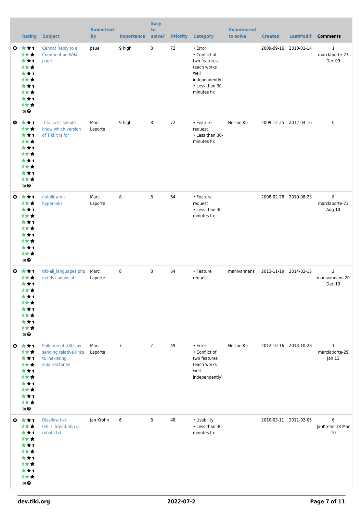|           | <b>Rating</b>                                                                                                              | <b>Subject</b>                                                                    | <b>Submitted</b><br>by | <b>Importance</b> | <b>Easy</b><br>to<br>solve? | <b>Priority</b> | <b>Category</b>                                                                                                     | <b>Volunteered</b><br>to solve | <b>Created</b>        | <b>LastModif</b> | <b>Comments</b>                            |
|-----------|----------------------------------------------------------------------------------------------------------------------------|-----------------------------------------------------------------------------------|------------------------|-------------------|-----------------------------|-----------------|---------------------------------------------------------------------------------------------------------------------|--------------------------------|-----------------------|------------------|--------------------------------------------|
| O         | ***<br>1★★<br>★★1<br>计女女<br>***<br><b>1**</b><br>***<br><b>1**</b><br>***<br>1★★<br>$(0)$ $\odot$                          | Cannot Reply to a<br>Comment on Wiki<br>page                                      | psue                   | 9 high            | 8                           | 72              | • Error<br>• Conflict of<br>two features<br>(each works<br>well<br>independently)<br>• Less than 30-<br>minutes fix |                                | 2009-09-16            | 2010-01-14       | $\mathbf{1}$<br>marclaporte-27<br>Dec 09   |
| $\bullet$ | ***<br>1★★<br>***<br><b>1**</b><br>***<br><b>1**</b><br>***<br><b>1**</b><br>***<br>1★★<br>$(0)$ $\odot$                   | htaccess should<br>know which version<br>of Tiki it is for                        | Marc<br>Laporte        | 9 high            | 8                           | 72              | • Feature<br>request<br>• Less than 30-<br>minutes fix                                                              | Nelson Ko                      | 2009-12-25 2012-04-16 |                  | $\mathsf 0$                                |
|           | $0 \star \star \star$<br>1★★<br>***<br><b>1**</b><br>***<br><b>1**</b><br>***<br><b>1**</b><br>***<br>1★★<br>$(0)$ $\odot$ | nofollow on<br>hyperlinks                                                         | Marc<br>Laporte        | 8                 | 8                           | 64              | • Feature<br>request<br>• Less than 30-<br>minutes fix                                                              |                                | 2008-02-28            | 2010-08-23       | 8<br>marclaporte-23<br>Aug 10              |
| O         | ***<br><b>1**</b><br>***<br>1★★<br>★★↑<br><b>1 * *</b><br>* * 1<br><b>1**</b><br>***<br>计女女<br>$(0)$ $\odot$               | tiki-all languages.php<br>needs canonical                                         | Marc<br>Laporte        | 8                 | 8                           | 64              | • Feature<br>request                                                                                                | manivannans                    | 2013-11-19 2014-02-13 |                  | $\overline{2}$<br>manivannans-20<br>Dec 13 |
|           | $0$ $\star$ $\star$ $1$<br>计女女<br>***<br>1★★<br>***<br><b>1**</b><br>***<br>才女女<br>***<br>计女女<br>$(0)$ $\odot$             | Pollution of URLs by<br>sending relative links<br>to inexisting<br>subdirectories | Marc<br>Laporte        | $\overline{7}$    | $\overline{7}$              | 49              | • Error<br>• Conflict of<br>two features<br>(each works<br>well<br>independently)                                   | Nelson Ko                      | 2012-10-16 2013-10-28 |                  | $\mathbf{1}$<br>marclaporte-29<br>Jan 13   |
|           | $0 \star \star \star$<br>1★★<br>***<br>计女女<br>***<br><b>1**</b><br>***<br><b>1**</b><br>***<br>计女女<br>$(0)$ $\odot$        | <b>Disallow tiki-</b><br>tell_a_friend.php in<br>robots.txt                       | Jan Krohn              | $\,6\,$           | 8                           | 48              | • Usability<br>• Less than 30-<br>minutes fix                                                                       |                                | 2010-03-11 2011-02-05 |                  | 6<br>JanKrohn-18 Mar<br>10                 |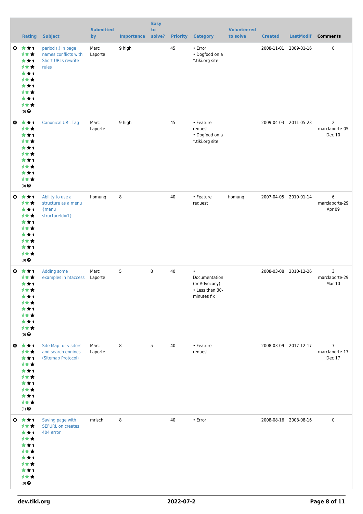|           | <b>Rating</b>                                                                                                              | <b>Subject</b>                                                                   | <b>Submitted</b><br>by | <b>Importance</b> | <b>Easy</b><br>to<br>solve? | <b>Priority</b> | <b>Category</b>                                                               | <b>Volunteered</b><br>to solve | <b>Created</b>        | <b>LastModif</b>      | <b>Comments</b>                            |
|-----------|----------------------------------------------------------------------------------------------------------------------------|----------------------------------------------------------------------------------|------------------------|-------------------|-----------------------------|-----------------|-------------------------------------------------------------------------------|--------------------------------|-----------------------|-----------------------|--------------------------------------------|
| ◎         | ***<br>计女女<br>***<br><b>1**</b><br>***<br><b>1**</b><br>***<br><b>1**</b><br>***<br>计女女<br>(0)                             | period (.) in page<br>names conflicts with<br><b>Short URLs rewrite</b><br>rules | Marc<br>Laporte        | 9 high            |                             | 45              | • Error<br>• Dogfood on a<br>*.tiki.org site                                  |                                |                       | 2008-11-01 2009-01-16 | $\pmb{0}$                                  |
| ◎         | ***<br>1★★<br>***<br><b>1**</b><br>***<br>1★★<br>***<br><b>1**</b><br>***<br>计女女<br>$(0)$ $\odot$                          | <b>Canonical URL Tag</b>                                                         | Marc<br>Laporte        | 9 high            |                             | 45              | • Feature<br>request<br>• Dogfood on a<br>*.tiki.org site                     |                                |                       | 2009-04-03 2011-05-23 | $\overline{2}$<br>marclaporte-05<br>Dec 10 |
| $\bullet$ | ***<br><b>1**</b><br>***<br>计女女<br>***<br>计女女<br>***<br><b>1**</b><br>***<br>计女女<br>$(0)$ $\odot$                          | Ability to use a<br>structure as a menu<br>{menu<br>structureId=1}               | homung                 | 8                 |                             | 40              | • Feature<br>request                                                          | homunq                         |                       | 2007-04-05 2010-01-14 | 6<br>marclaporte-29<br>Apr 09              |
|           | $0 \star \star \star$<br><b>1★★</b><br>***<br><b>1**</b><br>***<br><b>1**</b><br>***<br>计女女<br>***<br>计女女<br>$(0)$ $\odot$ | Adding some<br>examples in htaccess                                              | Marc<br>Laporte        | 5                 | 8                           | 40              | $\bullet$<br>Documentation<br>(or Advocacy)<br>• Less than 30-<br>minutes fix |                                |                       | 2008-03-08 2010-12-26 | 3<br>marclaporte-29<br>Mar 10              |
|           | ◎ ★★1<br>1★★<br>***<br><b>1**</b><br>***<br>计女女<br>***<br>计女女<br>***<br>计女女<br>$(1)$<br>$\pmb{\Theta}$                     | Site Map for visitors<br>and search engines<br>(Sitemap Protocol)                | Marc<br>Laporte        | 8                 | 5                           | 40              | • Feature<br>request                                                          |                                |                       | 2008-03-09 2017-12-17 | $\overline{7}$<br>marclaporte-17<br>Dec 17 |
|           | ◎ ★★1<br>1★★<br>***<br>计女女<br>***<br>计女女<br>***<br>1★★<br>***<br>计女女<br>$(0)$ $\bigodot$                                   | Saving page with<br><b>SEFURL on creates</b><br>404 error                        | mrisch                 | 8                 |                             | 40              | • Error                                                                       |                                | 2008-08-16 2008-08-16 |                       | $\pmb{0}$                                  |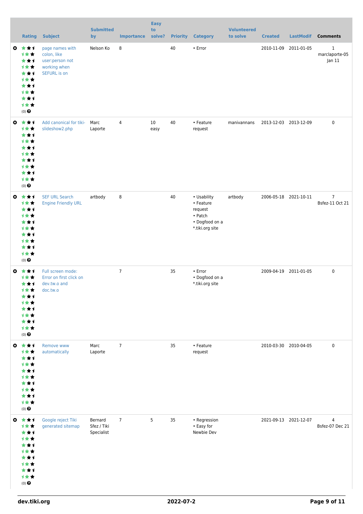|           | <b>Rating</b>                                                                                                   | <b>Subject</b>                                                                           | <b>Submitted</b><br>by               | <b>Importance</b> | <b>Easy</b><br>to<br>solve? | <b>Priority</b> | <b>Category</b>                                                                     | <b>Volunteered</b><br>to solve | <b>Created</b>        | <b>LastModif</b>      | <b>Comments</b>                   |
|-----------|-----------------------------------------------------------------------------------------------------------------|------------------------------------------------------------------------------------------|--------------------------------------|-------------------|-----------------------------|-----------------|-------------------------------------------------------------------------------------|--------------------------------|-----------------------|-----------------------|-----------------------------------|
| ◎         | 大大大<br>1★★<br>***<br>计女女<br>***<br>1★★<br>***<br>1★★<br>***<br>1★★<br>$(0)$ $\odot$                             | page names with<br>colon, like<br>user:person not<br>working when<br><b>SEFURL</b> is on | Nelson Ko                            | 8                 |                             | 40              | • Error                                                                             |                                |                       | 2010-11-09 2011-01-05 | 1<br>marclaporte-05<br>Jan 11     |
|           | $0 \star \star 1$<br>1★★<br>***<br>计女女<br>***<br>计女女<br>***<br>1★★<br>***<br>1★★<br>$(0)$ $\odot$               | Add canonical for tiki-<br>slideshow2.php                                                | Marc<br>Laporte                      | $\overline{4}$    | 10<br>easy                  | 40              | • Feature<br>request                                                                | manivannans                    | 2013-12-03 2013-12-09 |                       | $\mathbf 0$                       |
| $\bullet$ | ***<br>计女女<br>***<br>1★★<br>***<br>计女女<br>***<br>1★★<br>***<br>1★★<br>$(0)$ $\odot$                             | <b>SEF URL Search</b><br><b>Engine Friendly URL</b>                                      | artbody                              | 8                 |                             | 40              | • Usability<br>• Feature<br>request<br>• Patch<br>• Dogfood on a<br>*.tiki.org site | artbody                        |                       | 2006-05-18 2021-10-11 | $\overline{7}$<br>Bsfez-11 Oct 21 |
| O         | ***<br>1★★<br>***<br>计女女<br>***<br><b>1**</b><br>***<br>计女女<br>***<br>计女女<br>$(0)$ $\odot$                      | Full screen mode:<br>Error on first click on<br>dev.tw.o and<br>doc.tw.o                 |                                      | $\overline{7}$    |                             | 35              | • Error<br>• Dogfood on a<br>*.tiki.org site                                        |                                |                       | 2009-04-19 2011-01-05 | $\mathbf 0$                       |
|           | $0 \pm \pm 1$<br>1**<br>***<br>1★★<br>***<br>计女女<br>***<br>计女女<br>***<br>1★★<br>$(0)$<br>$\pmb{\Theta}$         | Remove www<br>automatically                                                              | Marc<br>Laporte                      | $\overline{7}$    |                             | 35              | • Feature<br>request                                                                |                                |                       | 2010-03-30 2010-04-05 | $\mathbf 0$                       |
|           | $0 \star \star \star$<br>计女女<br>***<br>计女女<br>***<br>计女女<br>***<br>1★★<br>***<br>计女女<br>$(0)$<br>$\pmb{\Theta}$ | Google reject Tiki<br>generated sitemap                                                  | Bernard<br>Sfez / Tiki<br>Specialist | $\overline{7}$    | 5                           | 35              | • Regression<br>• Easy for<br>Newbie Dev                                            |                                | 2021-09-13 2021-12-07 |                       | 4<br>Bsfez-07 Dec 21              |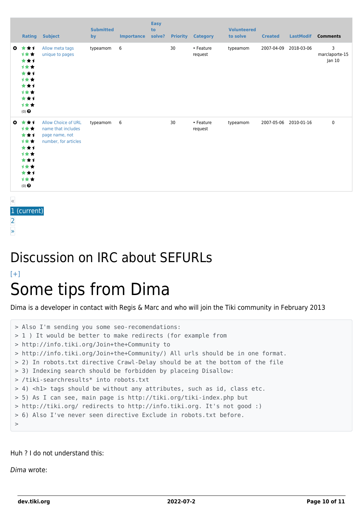|              | <b>Rating</b>                                                                       | <b>Subject</b>                                                                             | <b>Submitted</b><br>by | <b>Importance</b> | <b>Easy</b><br>to<br>solve? | <b>Priority</b> | <b>Category</b>      | <b>Volunteered</b><br>to solve | <b>Created</b> | <b>LastModif</b> | <b>Comments</b>               |
|--------------|-------------------------------------------------------------------------------------|--------------------------------------------------------------------------------------------|------------------------|-------------------|-----------------------------|-----------------|----------------------|--------------------------------|----------------|------------------|-------------------------------|
| $\mathbf{c}$ | ***<br>计女女<br>***<br>1★★<br>***<br>1★★<br>***<br>计女女<br>***<br>计女女<br>$(0)$ $\odot$ | Allow meta tags<br>unique to pages                                                         | typeamom               | 6                 |                             | 30              | • Feature<br>request | typeamom                       | 2007-04-09     | 2018-03-06       | 3<br>marclaporte-15<br>Jan 10 |
| $\bullet$    | ***<br>1★★<br>***<br>计女女<br>***<br>1★★<br>***<br>1★★<br>***<br>计女女<br>$(0)$ $\odot$ | <b>Allow Choice of URL</b><br>name that includes<br>page name, not<br>number, for articles | typeamom               | 6                 |                             | 30              | • Feature<br>request | typeamom                       | 2007-05-06     | 2010-01-16       | $\mathbf 0$                   |

« (current) [2](https://dev.tiki.org/tiki-print.php?tr_sort_mode1=created_asc&page=Search+engine+optimization&tr_offset3=20)

[»](https://dev.tiki.org/tiki-print.php?tr_sort_mode1=created_asc&page=Search+engine+optimization&tr_offset3=20)

## Discussion on IRC about SEFURLs

#### $[+]$ Some tips from Dima

Dima is a developer in contact with Regis & Marc and who will join the Tiki community in February 2013

```
> Also I'm sending you some seo-recomendations:
> 1 ) It would be better to make redirects (for example from
> http://info.tiki.org/Join+the+Community to
> http://info.tiki.org/Join+the+Community/) All urls should be in one format.
> 2) In robots.txt directive Crawl-Delay should be at the bottom of the file
> 3) Indexing search should be forbidden by placeing Disallow:
> /tiki-searchresults* into robots.txt
> 4) <h1> tags should be without any attributes, such as id, class etc.
> 5) As I can see, main page is http://tiki.org/tiki-index.php but
> http://tiki.org/ redirects to http://info.tiki.org. It's not good :)
> 6) Also I've never seen directive Exclude in robots.txt before.
>
```
#### Huh ? I do not understand this:

Dima wrote: